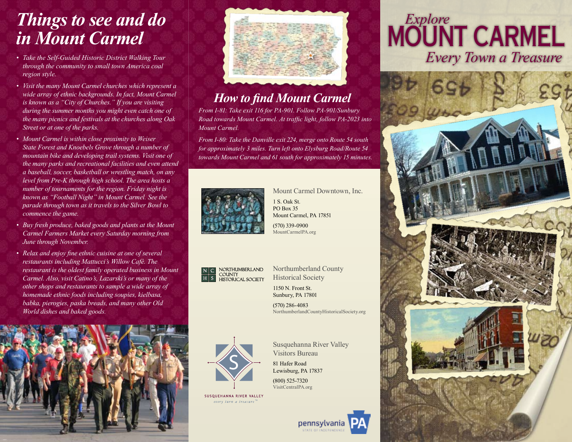## *Things to see and do in Mount Carmel*

- *• Take the Self-Guided Historic District Walking Tour through the community to small town America coal region style.*
- *• Visit the many Mount Carmel churches which represent a wide array of ethnic backgrounds. In fact, Mount Carmel is known as a "City of Churches." If you are visiting during the summer months you might even catch one of the many picnics and festivals at the churches along Oak Street or at one of the parks.*
- *• Mount Carmel is within close proximity to Weiser State Forest and Knoebels Grove through a number of mountain bike and developing trail systems. Visit one of the many parks and recreational facilities and even attend a baseball, soccer, basketball or wrestling match, on any level from Pre-K through high school. The area hosts a number of tournaments for the region. Friday night is known as "Football Night" in Mount Carmel. See the parade through town as it travels to the Silver Bowl to commence the game.*
- *• Buy fresh produce, baked goods and plants at the Mount Carmel Farmers Market every Saturday morning from June through November.*
- *• Relax and enjoy fine ethnic cuisine at one of several restaurants including Mattucci's Willow Café. The restaurant is the oldest family operated business in Mount Carmel. Also, visit Catino's, Lazarski's or many of the other shops and restaurants to sample a wide array of homemade ethnic foods including soupies, kielbasa, babka, pierogies, paska breads, and many other Old World dishes and baked goods.*





#### *How to find Mount Carmel*

*From I-81: Take exit 116 for PA-901. Follow PA-901/Sunbury Road towards Mount Carmel. At traffic light, follow PA-2023 into Mount Carmel.*

*From I-80: Take the Danville exit 224, merge onto Route 54 south for approximately 3 miles. Turn left onto Elysburg Road/Route 54 towards Mount Carmel and 61 south for approximately 15 minutes.* 



Mount Carmel Downtown, Inc.

1 S. Oak St. PO Box 35 Mount Carmel, PA 17851 (570) 339-0900 MountCarmelPA.org



Northumberland County Historical Society

1150 N. Front St. Sunbury, PA 17801

(570) 286-4083 NorthumberlandCountyHistoricalSociety.org



Susquehanna River Valley Visitors Bureau

81 Hafer Road Lewisburg, PA 17837 (800) 525-7320 VisitCentralPA.org

SUSQUEHANNA RIVER VALLEY every turn a treasure

pennsylvania